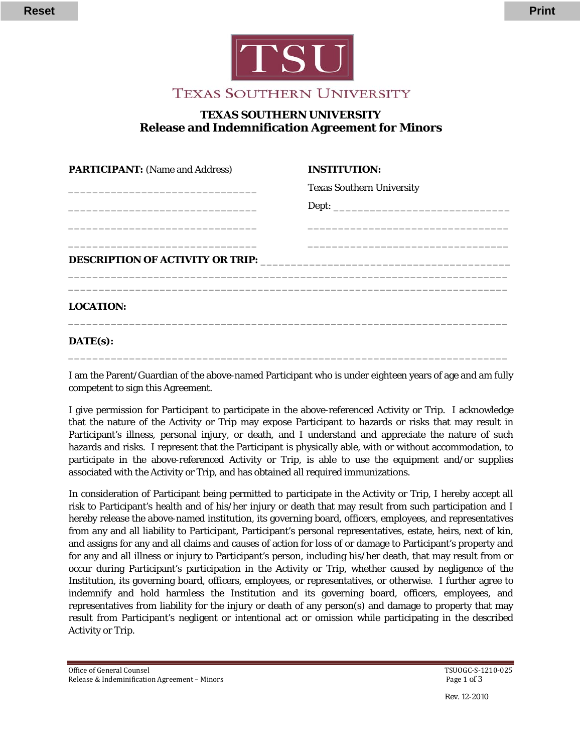



## **TEXAS SOUTHERN UNIVERSITY Release and Indemnification Agreement for Minors**

| <b>PARTICIPANT:</b> (Name and Address) | <b>INSTITUTION:</b>              |
|----------------------------------------|----------------------------------|
|                                        | <b>Texas Southern University</b> |
|                                        |                                  |
|                                        |                                  |
|                                        |                                  |
|                                        |                                  |
|                                        |                                  |
| <b>LOCATION:</b>                       |                                  |
| $\mathbf{DATE}(\mathbf{s})$ :          |                                  |

I am the Parent/Guardian of the above-named Participant who is under eighteen years of age and am fully competent to sign this Agreement.

\_\_\_\_\_\_\_\_\_\_\_\_\_\_\_\_\_\_\_\_\_\_\_\_\_\_\_\_\_\_\_\_\_\_\_\_\_\_\_\_\_\_\_\_\_\_\_\_\_\_\_\_\_\_\_\_\_\_\_\_\_\_\_\_\_\_\_\_\_\_\_\_

I give permission for Participant to participate in the above-referenced Activity or Trip. I acknowledge that the nature of the Activity or Trip may expose Participant to hazards or risks that may result in Participant's illness, personal injury, or death, and I understand and appreciate the nature of such hazards and risks. I represent that the Participant is physically able, with or without accommodation, to participate in the above-referenced Activity or Trip, is able to use the equipment and/or supplies associated with the Activity or Trip, and has obtained all required immunizations.

In consideration of Participant being permitted to participate in the Activity or Trip, I hereby accept all risk to Participant's health and of his/her injury or death that may result from such participation and I hereby release the above-named institution, its governing board, officers, employees, and representatives from any and all liability to Participant, Participant's personal representatives, estate, heirs, next of kin, and assigns for any and all claims and causes of action for loss of or damage to Participant's property and for any and all illness or injury to Participant's person, including his/her death, that may result from or occur during Participant's participation in the Activity or Trip, whether caused by negligence of the Institution, its governing board, officers, employees, or representatives, or otherwise. I further agree to indemnify and hold harmless the Institution and its governing board, officers, employees, and representatives from liability for the injury or death of any person(s) and damage to property that may result from Participant's negligent or intentional act or omission while participating in the described Activity or Trip.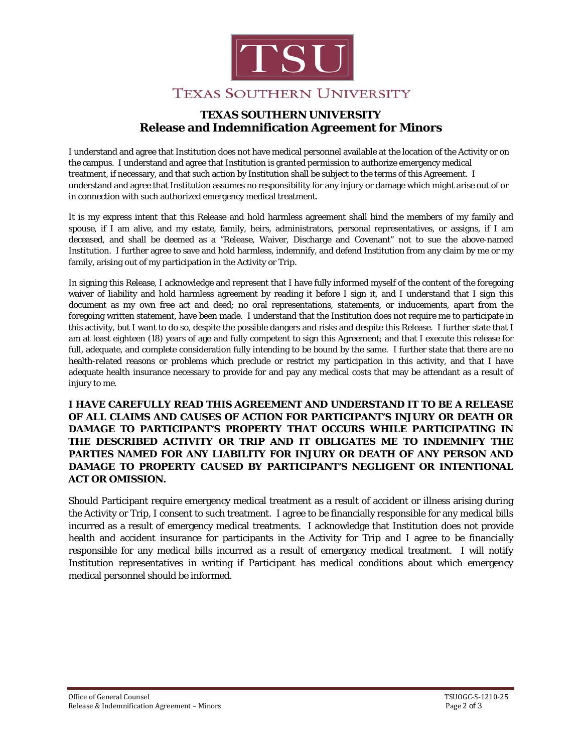

## **TEXAS SOUTHERN UNIVERSITY Release and Indemnification Agreement for Minors**

I understand and agree that Institution does not have medical personnel available at the location of the Activity or on the campus. I understand and agree that Institution is granted permission to authorize emergency medical treatment, if necessary, and that such action by Institution shall be subject to the terms of this Agreement. I understand and agree that Institution assumes no responsibility for any injury or damage which might arise out of or in connection with such authorized emergency medical treatment.

It is my express intent that this Release and hold harmless agreement shall bind the members of my family and spouse, if I am alive, and my estate, family, heirs, administrators, personal representatives, or assigns, if I am deceased, and shall be deemed as a "Release, Waiver, Discharge and Covenant" not to sue the above-named Institution. I further agree to save and hold harmless, indemnify, and defend Institution from any claim by me or my family, arising out of my participation in the Activity or Trip.

In signing this Release, I acknowledge and represent that I have fully informed myself of the content of the foregoing waiver of liability and hold harmless agreement by reading it before I sign it, and I understand that I sign this document as my own free act and deed; no oral representations, statements, or inducements, apart from the foregoing written statement, have been made. I understand that the Institution does not require me to participate in this activity, but I want to do so, despite the possible dangers and risks and despite this Release. I further state that I am at least eighteen (18) years of age and fully competent to sign this Agreement; and that I execute this release for full, adequate, and complete consideration fully intending to be bound by the same. I further state that there are no health-related reasons or problems which preclude or restrict my participation in this activity, and that I have adequate health insurance necessary to provide for and pay any medical costs that may be attendant as a result of injury to me.

**I HAVE CAREFULLY READ THIS AGREEMENT AND UNDERSTAND IT TO BE A RELEASE OF ALL CLAIMS AND CAUSES OF ACTION FOR PARTICIPANT'S INJURY OR DEATH OR DAMAGE TO PARTICIPANT'S PROPERTY THAT OCCURS WHILE PARTICIPATING IN THE DESCRIBED ACTIVITY OR TRIP AND IT OBLIGATES ME TO INDEMNIFY THE PARTIES NAMED FOR ANY LIABILITY FOR INJURY OR DEATH OF ANY PERSON AND DAMAGE TO PROPERTY CAUSED BY PARTICIPANT'S NEGLIGENT OR INTENTIONAL ACT OR OMISSION.** 

Should Participant require emergency medical treatment as a result of accident or illness arising during the Activity or Trip, I consent to such treatment. I agree to be financially responsible for any medical bills incurred as a result of emergency medical treatments. I acknowledge that Institution does not provide health and accident insurance for participants in the Activity for Trip and I agree to be financially responsible for any medical bills incurred as a result of emergency medical treatment. I will notify Institution representatives in writing if Participant has medical conditions about which emergency medical personnel should be informed.